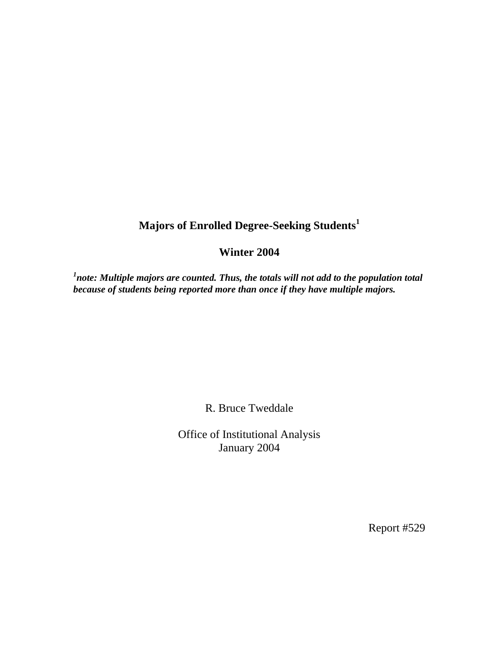## **Majors of Enrolled Degree-Seeking Students<sup>1</sup>**

## **Winter 2004**

<sup>1</sup>note: Multiple majors are counted. Thus, the totals will not add to the population total *because of students being reported more than once if they have multiple majors.* 

R. Bruce Tweddale

Office of Institutional Analysis January 2004

Report #529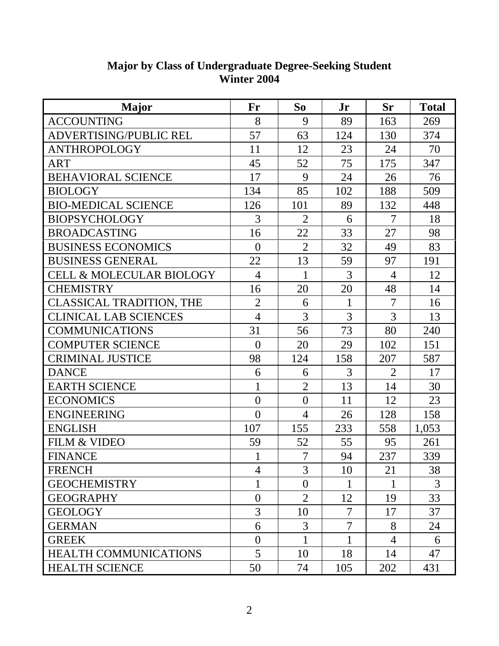| <b>Major</b>                        | Fr             | So             | Jr           | <b>Sr</b>      | <b>Total</b>   |
|-------------------------------------|----------------|----------------|--------------|----------------|----------------|
| <b>ACCOUNTING</b>                   | 8              | 9              | 89           | 163            | 269            |
| ADVERTISING/PUBLIC REL              | 57             | 63             | 124          | 130            | 374            |
| <b>ANTHROPOLOGY</b>                 | 11             | 12             | 23           | 24             | 70             |
| <b>ART</b>                          | 45             | 52             | 75           | 175            | 347            |
| <b>BEHAVIORAL SCIENCE</b>           | 17             | 9              | 24           | 26             | 76             |
| <b>BIOLOGY</b>                      | 134            | 85             | 102          | 188            | 509            |
| <b>BIO-MEDICAL SCIENCE</b>          | 126            | 101            | 89           | 132            | 448            |
| <b>BIOPSYCHOLOGY</b>                | 3              | $\overline{2}$ | 6            | $\overline{7}$ | 18             |
| <b>BROADCASTING</b>                 | 16             | 22             | 33           | 27             | 98             |
| <b>BUSINESS ECONOMICS</b>           | $\overline{0}$ | $\overline{2}$ | 32           | 49             | 83             |
| <b>BUSINESS GENERAL</b>             | 22             | 13             | 59           | 97             | 191            |
| <b>CELL &amp; MOLECULAR BIOLOGY</b> | $\overline{4}$ | 1              | 3            | $\overline{4}$ | 12             |
| <b>CHEMISTRY</b>                    | 16             | 20             | 20           | 48             | 14             |
| <b>CLASSICAL TRADITION, THE</b>     | $\overline{2}$ | 6              | $\mathbf{1}$ | $\overline{7}$ | 16             |
| <b>CLINICAL LAB SCIENCES</b>        | $\overline{4}$ | 3              | 3            | 3              | 13             |
| <b>COMMUNICATIONS</b>               | 31             | 56             | 73           | 80             | 240            |
| <b>COMPUTER SCIENCE</b>             | $\overline{0}$ | 20             | 29           | 102            | 151            |
| <b>CRIMINAL JUSTICE</b>             | 98             | 124            | 158          | 207            | 587            |
| <b>DANCE</b>                        | 6              | 6              | 3            | $\overline{2}$ | 17             |
| <b>EARTH SCIENCE</b>                | $\mathbf{1}$   | $\overline{2}$ | 13           | 14             | 30             |
| <b>ECONOMICS</b>                    | $\overline{0}$ | $\overline{0}$ | 11           | 12             | 23             |
| <b>ENGINEERING</b>                  | $\overline{0}$ | $\overline{4}$ | 26           | 128            | 158            |
| <b>ENGLISH</b>                      | 107            | 155            | 233          | 558            | 1,053          |
| <b>FILM &amp; VIDEO</b>             | 59             | 52             | 55           | 95             | 261            |
| <b>FINANCE</b>                      | 1              | $\overline{7}$ | 94           | 237            | 339            |
| <b>FRENCH</b>                       | 4              | 3              | 10           | 21             | 38             |
| <b>GEOCHEMISTRY</b>                 | 1              | $\overline{0}$ | 1            |                | $\overline{3}$ |
| <b>GEOGRAPHY</b>                    | $\overline{0}$ | $\overline{2}$ | 12           | 19             | 33             |
| <b>GEOLOGY</b>                      | 3              | 10             | 7            | 17             | 37             |
| <b>GERMAN</b>                       | 6              | 3              | 7            | 8              | 24             |
| <b>GREEK</b>                        | $\theta$       |                |              | $\overline{4}$ | 6              |
| <b>HEALTH COMMUNICATIONS</b>        | 5              | 10             | 18           | 14             | 47             |
| <b>HEALTH SCIENCE</b>               | 50             | 74             | 105          | 202            | 431            |

## **Major by Class of Undergraduate Degree-Seeking Student Winter 2004**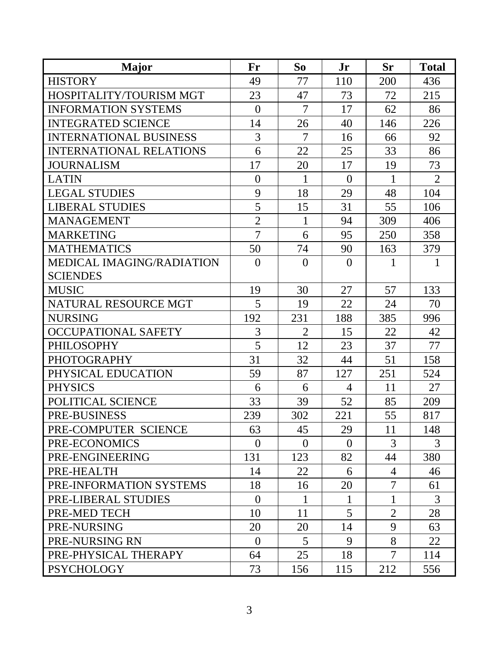| <b>Major</b>                     | Fr             | So             | Jr             | <b>Sr</b>      | <b>Total</b>   |
|----------------------------------|----------------|----------------|----------------|----------------|----------------|
| <b>HISTORY</b>                   | 49             | 77             | 110            | 200            | 436            |
| HOSPITALITY/TOURISM MGT          | 23             | 47             | 73             | 72             | 215            |
| <b>INFORMATION SYSTEMS</b>       | $\theta$       | $\overline{7}$ | 17             | 62             | 86             |
| <b>INTEGRATED SCIENCE</b>        | 14             | 26             | 40             | 146            | 226            |
| <b>INTERNATIONAL BUSINESS</b>    | 3              | $\overline{7}$ | 16             | 66             | 92             |
| <b>INTERNATIONAL RELATIONS</b>   | 6              | 22             | 25             | 33             | 86             |
| <b>JOURNALISM</b>                | 17             | 20             | 17             | 19             | 73             |
| <b>LATIN</b>                     | $\overline{0}$ | 1              | $\overline{0}$ | 1              | $\overline{2}$ |
| <b>LEGAL STUDIES</b>             | 9              | 18             | 29             | 48             | 104            |
| <b>LIBERAL STUDIES</b>           | 5              | 15             | 31             | 55             | 106            |
| <b>MANAGEMENT</b>                | $\overline{2}$ | $\mathbf{1}$   | 94             | 309            | 406            |
| <b>MARKETING</b>                 | $\overline{7}$ | 6              | 95             | 250            | 358            |
| <b>MATHEMATICS</b>               | 50             | 74             | 90             | 163            | 379            |
| <b>MEDICAL IMAGING/RADIATION</b> | $\theta$       | $\overline{0}$ | $\overline{0}$ | 1              | $\mathbf{1}$   |
| <b>SCIENDES</b>                  |                |                |                |                |                |
| <b>MUSIC</b>                     | 19             | 30             | 27             | 57             | 133            |
| NATURAL RESOURCE MGT             | 5              | 19             | 22             | 24             | 70             |
| <b>NURSING</b>                   | 192            | 231            | 188            | 385            | 996            |
| <b>OCCUPATIONAL SAFETY</b>       | 3              | $\overline{2}$ | 15             | 22             | 42             |
| <b>PHILOSOPHY</b>                | 5              | 12             | 23             | 37             | 77             |
| <b>PHOTOGRAPHY</b>               | 31             | 32             | 44             | 51             | 158            |
| PHYSICAL EDUCATION               | 59             | 87             | 127            | 251            | 524            |
| <b>PHYSICS</b>                   | 6              | 6              | $\overline{4}$ | 11             | 27             |
| POLITICAL SCIENCE                | 33             | 39             | 52             | 85             | 209            |
| PRE-BUSINESS                     | 239            | 302            | 221            | 55             | 817            |
| PRE-COMPUTER SCIENCE             | 63             | 45             | 29             | 11             | 148            |
| PRE-ECONOMICS                    | $\theta$       | $\theta$       | $\theta$       | 3              | 3              |
| PRE-ENGINEERING                  | 131            | 123            | 82             | 44             | 380            |
| PRE-HEALTH                       | 14             | 22             | 6              | $\overline{4}$ | 46             |
| PRE-INFORMATION SYSTEMS          | 18             | 16             | 20             | 7              | 61             |
| PRE-LIBERAL STUDIES              | $\theta$       | 1              | 1              |                | 3              |
| PRE-MED TECH                     | 10             | 11             | 5              | $\overline{2}$ | 28             |
| PRE-NURSING                      | 20             | 20             | 14             | 9              | 63             |
| PRE-NURSING RN                   | $\Omega$       | $\overline{5}$ | 9              | 8              | 22             |
| PRE-PHYSICAL THERAPY             | 64             | 25             | 18             | $\overline{7}$ | 114            |
| <b>PSYCHOLOGY</b>                | 73             | 156            | 115            | 212            | 556            |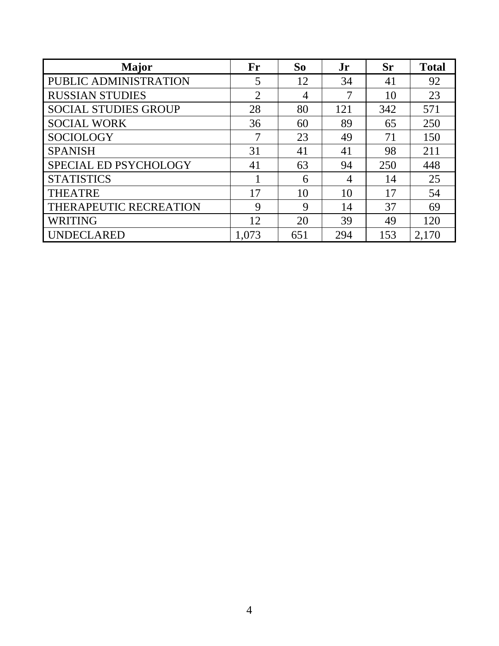| <b>Major</b>                | Fr    | So  | Jr  | <b>Sr</b> | <b>Total</b> |
|-----------------------------|-------|-----|-----|-----------|--------------|
| PUBLIC ADMINISTRATION       | 5     | 12  | 34  | 41        | 92           |
| <b>RUSSIAN STUDIES</b>      | 2     | 4   | 7   | 10        | 23           |
| <b>SOCIAL STUDIES GROUP</b> | 28    | 80  | 121 | 342       | 571          |
| <b>SOCIAL WORK</b>          | 36    | 60  | 89  | 65        | 250          |
| <b>SOCIOLOGY</b>            |       | 23  | 49  | 71        | 150          |
| <b>SPANISH</b>              | 31    | 41  | 41  | 98        | 211          |
| SPECIAL ED PSYCHOLOGY       | 41    | 63  | 94  | 250       | 448          |
| <b>STATISTICS</b>           |       | 6   | 4   | 14        | 25           |
| <b>THEATRE</b>              | 17    | 10  | 10  | 17        | 54           |
| THERAPEUTIC RECREATION      | 9     | 9   | 14  | 37        | 69           |
| <b>WRITING</b>              | 12    | 20  | 39  | 49        | 120          |
| <b>UNDECLARED</b>           | 1,073 | 651 | 294 | 153       | 2,170        |